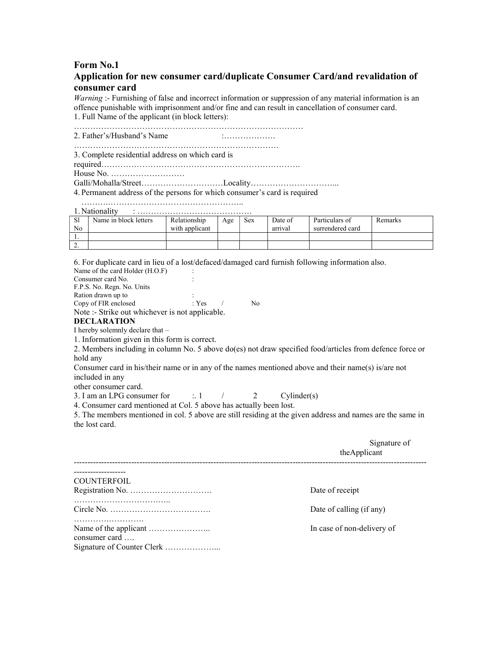# Form No.1

# Application for new consumer card/duplicate Consumer Card/and revalidation of consumer card

Warning :- Furnishing of false and incorrect information or suppression of any material information is an offence punishable with imprisonment and/or fine and can result in cancellation of consumer card. 1. Full Name of the applicant (in block letters):

………………………………………………………………………… 2. Father's/Husband's Name :………………. …………………………………………………………………

3. Complete residential address on which card is

required……………………………………………………………….

House No. ………………………

Galli/Mohalla/Street…………………………Locality…………………………...

4. Permanent address of the persons for which consumer's card is required

……….………………………………………….. 1 Nationality :

| 1.1 valivnant v |                       |                |     |            |         |                  |                |  |
|-----------------|-----------------------|----------------|-----|------------|---------|------------------|----------------|--|
| <sub>S1</sub>   | Name in block letters | Relationship   | Age | <b>Sex</b> | Date of | Particulars of   | <b>Remarks</b> |  |
| N <sub>o</sub>  |                       | with applicant |     |            | arrıval | surrendered card |                |  |
| . .             |                       |                |     |            |         |                  |                |  |
| <u>.</u>        |                       |                |     |            |         |                  |                |  |

6. For duplicate card in lieu of a lost/defaced/damaged card furnish following information also.

Name of the card Holder (H.O.F) : Consumer card No. : F.P.S. No. Regn. No. Units Ration drawn up to : Copy of FIR enclosed : Yes / No Note :- Strike out whichever is not applicable.

#### DECLARATION

I hereby solemnly declare that –

1. Information given in this form is correct.

2. Members including in column No. 5 above do(es) not draw specified food/articles from defence force or hold any

Consumer card in his/their name or in any of the names mentioned above and their name(s) is/are not included in any

other consumer card.

3. I am an LPG consumer for  $\therefore$  1 / 2 Cylinder(s)

4. Consumer card mentioned at Col. 5 above has actually been lost.

5. The members mentioned in col. 5 above are still residing at the given address and names are the same in the lost card.

|                    | Signature of<br>theApplicant |  |
|--------------------|------------------------------|--|
|                    |                              |  |
| <b>COUNTERFOIL</b> |                              |  |
|                    | Date of receipt              |  |
|                    | Date of calling (if any)     |  |
| consumer card      | In case of non-delivery of   |  |